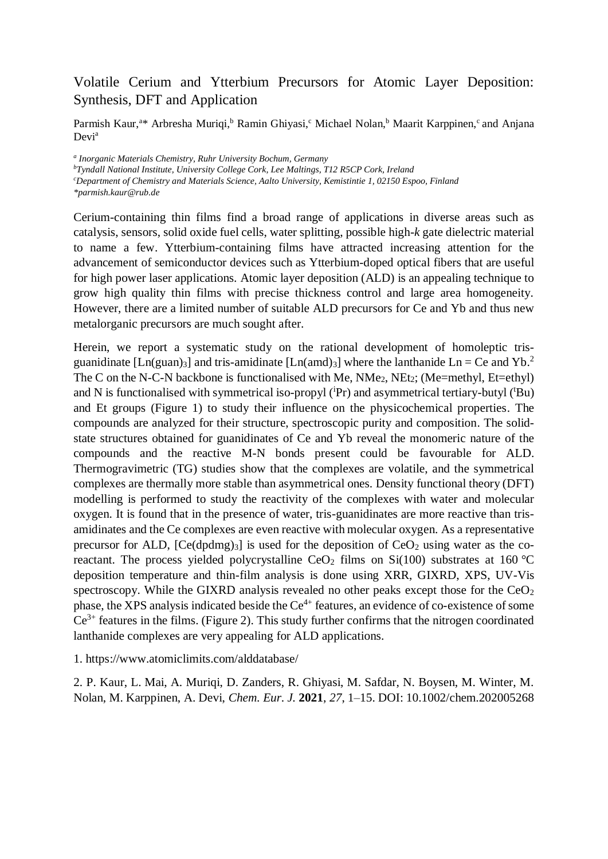## Volatile Cerium and Ytterbium Precursors for Atomic Layer Deposition: Synthesis, DFT and Application

Parmish Kaur,<sup>a\*</sup> Arbresha Muriqi,<sup>b</sup> Ramin Ghiyasi,<sup>c</sup> Michael Nolan,<sup>b</sup> Maarit Karppinen,<sup>c</sup> and Anjana Devi<sup>a</sup>

*a Inorganic Materials Chemistry, Ruhr University Bochum, Germany*

*<sup>b</sup>Tyndall National Institute, University College Cork, Lee Maltings, T12 R5CP Cork, Ireland*

*<sup>c</sup>Department of Chemistry and Materials Science, Aalto University, Kemistintie 1, 02150 Espoo, Finland*

*\*parmish.kaur@rub.de*

Cerium-containing thin films find a broad range of applications in diverse areas such as catalysis, sensors, solid oxide fuel cells, water splitting, possible high-*k* gate dielectric material to name a few. Ytterbium-containing films have attracted increasing attention for the advancement of semiconductor devices such as Ytterbium-doped optical fibers that are useful for high power laser applications. Atomic layer deposition (ALD) is an appealing technique to grow high quality thin films with precise thickness control and large area homogeneity. However, there are a limited number of suitable ALD precursors for Ce and Yb and thus new metalorganic precursors are much sought after.

Herein, we report a systematic study on the rational development of homoleptic trisguanidinate [Ln(guan)<sub>3</sub>] and tris-amidinate [Ln(amd)<sub>3</sub>] where the lanthanide Ln = Ce and Yb.<sup>2</sup> The C on the N-C-N backbone is functionalised with Me,  $NMe<sub>2</sub>$ ,  $NEt<sub>2</sub>$ ; (Me=methyl, Et=ethyl) and N is functionalised with symmetrical iso-propyl  $({}^{i}Pr)$  and asymmetrical tertiary-butyl  $({}^{t}Bu)$ and Et groups (Figure 1) to study their influence on the physicochemical properties. The compounds are analyzed for their structure, spectroscopic purity and composition. The solidstate structures obtained for guanidinates of Ce and Yb reveal the monomeric nature of the compounds and the reactive M-N bonds present could be favourable for ALD. Thermogravimetric (TG) studies show that the complexes are volatile, and the symmetrical complexes are thermally more stable than asymmetrical ones. Density functional theory (DFT) modelling is performed to study the reactivity of the complexes with water and molecular oxygen. It is found that in the presence of water, tris-guanidinates are more reactive than trisamidinates and the Ce complexes are even reactive with molecular oxygen. As a representative precursor for ALD,  $[Ce(dpdmg)<sub>3</sub>]$  is used for the deposition of  $CeO<sub>2</sub>$  using water as the coreactant. The process yielded polycrystalline  $CeO<sub>2</sub>$  films on Si(100) substrates at 160 °C deposition temperature and thin-film analysis is done using XRR, GIXRD, XPS, UV-Vis spectroscopy. While the GIXRD analysis revealed no other peaks except those for the  $CeO<sub>2</sub>$ phase, the XPS analysis indicated beside the  $Ce^{4+}$  features, an evidence of co-existence of some  $Ce^{3+}$  features in the films. (Figure 2). This study further confirms that the nitrogen coordinated lanthanide complexes are very appealing for ALD applications.

1. https://www.atomiclimits.com/alddatabase/

2. P. Kaur, L. Mai, A. Muriqi, D. Zanders, R. Ghiyasi, M. Safdar, N. Boysen, M. Winter, M. Nolan, M. Karppinen, A. Devi, *Chem. Eur. J.* **2021**, *27*, 1–15. DOI: 10.1002/chem.202005268